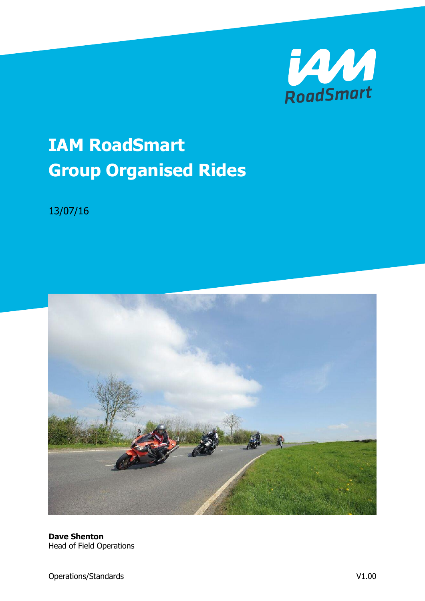

# **IAM RoadSmart Group Organised Rides**

13/07/16



**Dave Shenton** Head of Field Operations

Operations/Standards V1.00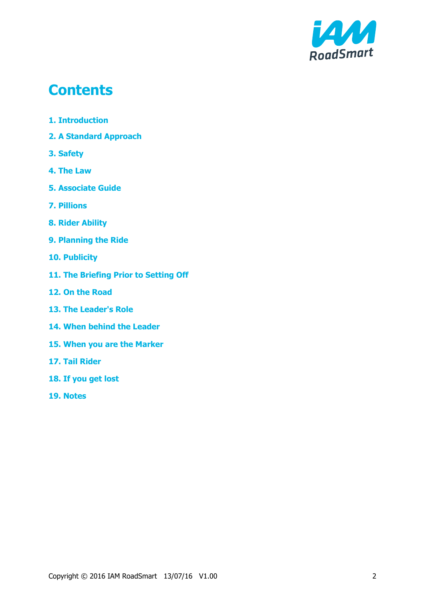

# **Contents**

- **1. Introduction**
- **2. A Standard Approach**
- **3. Safety**
- **4. The Law**
- **5. Associate Guide**
- **7. Pillions**
- **8. Rider Ability**
- **9. Planning the Ride**
- **10. Publicity**
- **11. The Briefing Prior to Setting Off**
- **12. On the Road**
- **13. The Leader's Role**
- **14. When behind the Leader**
- **15. When you are the Marker**
- **17. Tail Rider**
- **18. If you get lost**
- **19. Notes**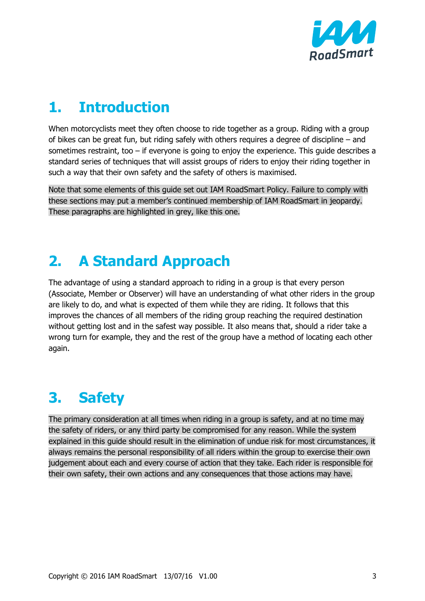

# **1. Introduction**

When motorcyclists meet they often choose to ride together as a group. Riding with a group of bikes can be great fun, but riding safely with others requires a degree of discipline – and sometimes restraint, too – if everyone is going to enjoy the experience. This guide describes a standard series of techniques that will assist groups of riders to enjoy their riding together in such a way that their own safety and the safety of others is maximised.

Note that some elements of this guide set out IAM RoadSmart Policy. Failure to comply with these sections may put a member's continued membership of IAM RoadSmart in jeopardy. These paragraphs are highlighted in grey, like this one.

# **2. A Standard Approach**

The advantage of using a standard approach to riding in a group is that every person (Associate, Member or Observer) will have an understanding of what other riders in the group are likely to do, and what is expected of them while they are riding. It follows that this improves the chances of all members of the riding group reaching the required destination without getting lost and in the safest way possible. It also means that, should a rider take a wrong turn for example, they and the rest of the group have a method of locating each other again.

# **3. Safety**

The primary consideration at all times when riding in a group is safety, and at no time may the safety of riders, or any third party be compromised for any reason. While the system explained in this guide should result in the elimination of undue risk for most circumstances, it always remains the personal responsibility of all riders within the group to exercise their own judgement about each and every course of action that they take. Each rider is responsible for their own safety, their own actions and any consequences that those actions may have.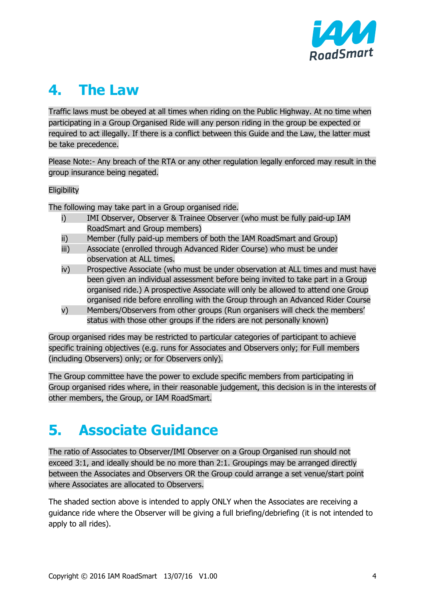

# **4. The Law**

Traffic laws must be obeyed at all times when riding on the Public Highway. At no time when participating in a Group Organised Ride will any person riding in the group be expected or required to act illegally. If there is a conflict between this Guide and the Law, the latter must be take precedence.

Please Note:- Any breach of the RTA or any other regulation legally enforced may result in the group insurance being negated.

#### **Eligibility**

The following may take part in a Group organised ride.

- i) IMI Observer, Observer & Trainee Observer (who must be fully paid-up IAM RoadSmart and Group members)
- ii) Member (fully paid-up members of both the IAM RoadSmart and Group)
- iii) Associate (enrolled through Advanced Rider Course) who must be under observation at ALL times.
- iv) Prospective Associate (who must be under observation at ALL times and must have been given an individual assessment before being invited to take part in a Group organised ride.) A prospective Associate will only be allowed to attend one Group organised ride before enrolling with the Group through an Advanced Rider Course
- v) Members/Observers from other groups (Run organisers will check the members' status with those other groups if the riders are not personally known)

Group organised rides may be restricted to particular categories of participant to achieve specific training objectives (e.g. runs for Associates and Observers only; for Full members (including Observers) only; or for Observers only).

The Group committee have the power to exclude specific members from participating in Group organised rides where, in their reasonable judgement, this decision is in the interests of other members, the Group, or IAM RoadSmart.

# **5. Associate Guidance**

The ratio of Associates to Observer/IMI Observer on a Group Organised run should not exceed 3:1, and ideally should be no more than 2:1. Groupings may be arranged directly between the Associates and Observers OR the Group could arrange a set venue/start point where Associates are allocated to Observers.

The shaded section above is intended to apply ONLY when the Associates are receiving a guidance ride where the Observer will be giving a full briefing/debriefing (it is not intended to apply to all rides).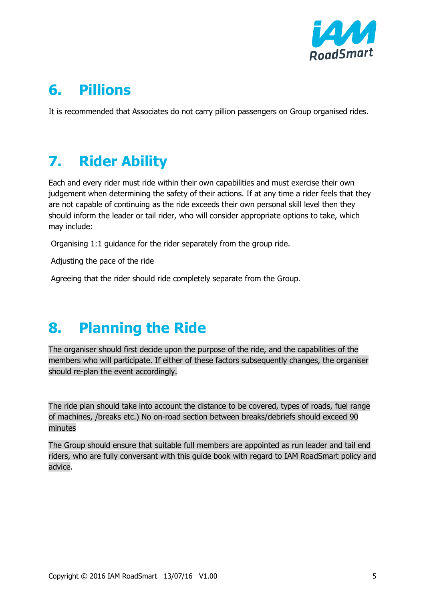

# **6. Pillions**

It is recommended that Associates do not carry pillion passengers on Group organised rides.

# **7. Rider Ability**

Each and every rider must ride within their own capabilities and must exercise their own judgement when determining the safety of their actions. If at any time a rider feels that they are not capable of continuing as the ride exceeds their own personal skill level then they should inform the leader or tail rider, who will consider appropriate options to take, which may include:

Organising 1:1 guidance for the rider separately from the group ride.

Adjusting the pace of the ride

Agreeing that the rider should ride completely separate from the Group.

# **8. Planning the Ride**

The organiser should first decide upon the purpose of the ride, and the capabilities of the members who will participate. If either of these factors subsequently changes, the organiser should re-plan the event accordingly.

The ride plan should take into account the distance to be covered, types of roads, fuel range of machines, /breaks etc.) No on-road section between breaks/debriefs should exceed 90 minutes

The Group should ensure that suitable full members are appointed as run leader and tail end riders, who are fully conversant with this guide book with regard to IAM RoadSmart policy and advice.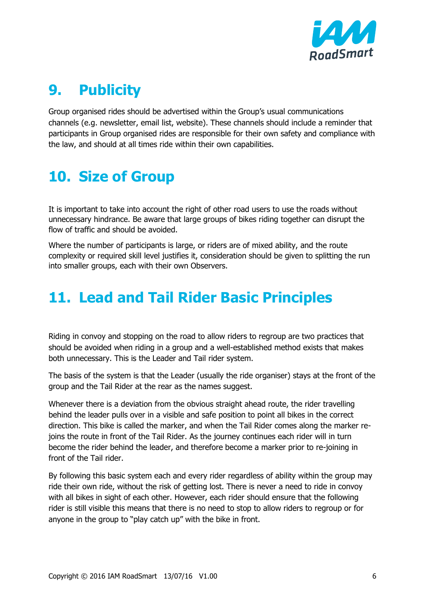

# **9. Publicity**

Group organised rides should be advertised within the Group's usual communications channels (e.g. newsletter, email list, website). These channels should include a reminder that participants in Group organised rides are responsible for their own safety and compliance with the law, and should at all times ride within their own capabilities.

# **10. Size of Group**

It is important to take into account the right of other road users to use the roads without unnecessary hindrance. Be aware that large groups of bikes riding together can disrupt the flow of traffic and should be avoided.

Where the number of participants is large, or riders are of mixed ability, and the route complexity or required skill level justifies it, consideration should be given to splitting the run into smaller groups, each with their own Observers.

# **11. Lead and Tail Rider Basic Principles**

Riding in convoy and stopping on the road to allow riders to regroup are two practices that should be avoided when riding in a group and a well-established method exists that makes both unnecessary. This is the Leader and Tail rider system.

The basis of the system is that the Leader (usually the ride organiser) stays at the front of the group and the Tail Rider at the rear as the names suggest.

Whenever there is a deviation from the obvious straight ahead route, the rider travelling behind the leader pulls over in a visible and safe position to point all bikes in the correct direction. This bike is called the marker, and when the Tail Rider comes along the marker rejoins the route in front of the Tail Rider. As the journey continues each rider will in turn become the rider behind the leader, and therefore become a marker prior to re-joining in front of the Tail rider.

By following this basic system each and every rider regardless of ability within the group may ride their own ride, without the risk of getting lost. There is never a need to ride in convoy with all bikes in sight of each other. However, each rider should ensure that the following rider is still visible this means that there is no need to stop to allow riders to regroup or for anyone in the group to "play catch up" with the bike in front.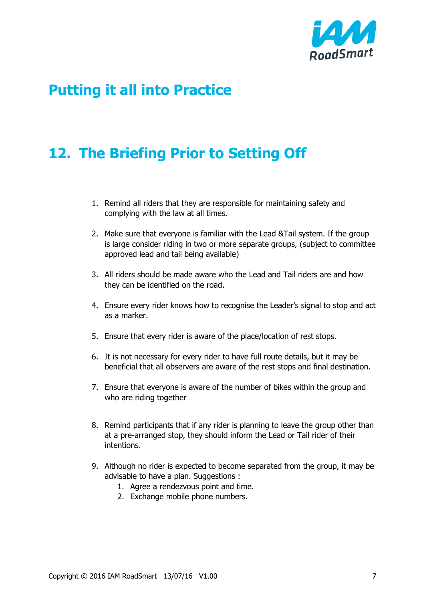

# **Putting it all into Practice**

# **12. The Briefing Prior to Setting Off**

- 1. Remind all riders that they are responsible for maintaining safety and complying with the law at all times.
- 2. Make sure that everyone is familiar with the Lead &Tail system. If the group is large consider riding in two or more separate groups, (subject to committee approved lead and tail being available)
- 3. All riders should be made aware who the Lead and Tail riders are and how they can be identified on the road.
- 4. Ensure every rider knows how to recognise the Leader's signal to stop and act as a marker.
- 5. Ensure that every rider is aware of the place/location of rest stops.
- 6. It is not necessary for every rider to have full route details, but it may be beneficial that all observers are aware of the rest stops and final destination.
- 7. Ensure that everyone is aware of the number of bikes within the group and who are riding together
- 8. Remind participants that if any rider is planning to leave the group other than at a pre-arranged stop, they should inform the Lead or Tail rider of their intentions.
- 9. Although no rider is expected to become separated from the group, it may be advisable to have a plan. Suggestions :
	- 1. Agree a rendezvous point and time.
	- 2. Exchange mobile phone numbers.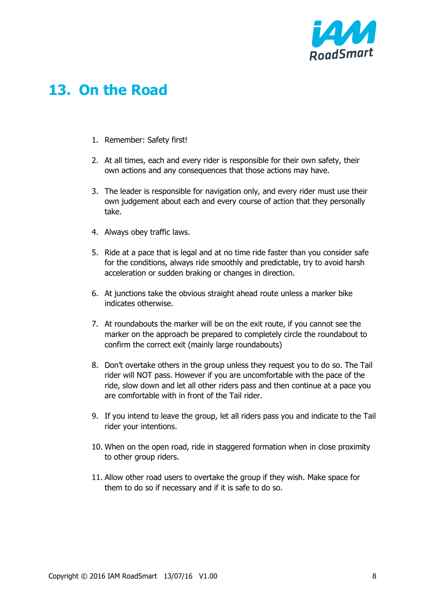

# **13. On the Road**

- 1. Remember: Safety first!
- 2. At all times, each and every rider is responsible for their own safety, their own actions and any consequences that those actions may have.
- 3. The leader is responsible for navigation only, and every rider must use their own judgement about each and every course of action that they personally take.
- 4. Always obey traffic laws.
- 5. Ride at a pace that is legal and at no time ride faster than you consider safe for the conditions, always ride smoothly and predictable, try to avoid harsh acceleration or sudden braking or changes in direction.
- 6. At junctions take the obvious straight ahead route unless a marker bike indicates otherwise.
- 7. At roundabouts the marker will be on the exit route, if you cannot see the marker on the approach be prepared to completely circle the roundabout to confirm the correct exit (mainly large roundabouts)
- 8. Don't overtake others in the group unless they request you to do so. The Tail rider will NOT pass. However if you are uncomfortable with the pace of the ride, slow down and let all other riders pass and then continue at a pace you are comfortable with in front of the Tail rider.
- 9. If you intend to leave the group, let all riders pass you and indicate to the Tail rider your intentions.
- 10. When on the open road, ride in staggered formation when in close proximity to other group riders.
- 11. Allow other road users to overtake the group if they wish. Make space for them to do so if necessary and if it is safe to do so.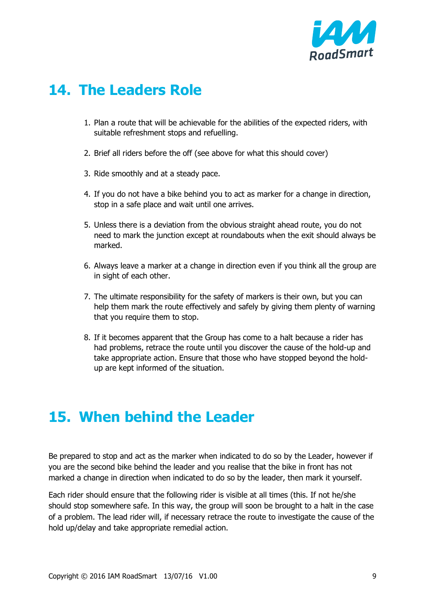

#### **14. The Leaders Role**

- 1. Plan a route that will be achievable for the abilities of the expected riders, with suitable refreshment stops and refuelling.
- 2. Brief all riders before the off (see above for what this should cover)
- 3. Ride smoothly and at a steady pace.
- 4. If you do not have a bike behind you to act as marker for a change in direction, stop in a safe place and wait until one arrives.
- 5. Unless there is a deviation from the obvious straight ahead route, you do not need to mark the junction except at roundabouts when the exit should always be marked.
- 6. Always leave a marker at a change in direction even if you think all the group are in sight of each other.
- 7. The ultimate responsibility for the safety of markers is their own, but you can help them mark the route effectively and safely by giving them plenty of warning that you require them to stop.
- 8. If it becomes apparent that the Group has come to a halt because a rider has had problems, retrace the route until you discover the cause of the hold-up and take appropriate action. Ensure that those who have stopped beyond the holdup are kept informed of the situation.

# **15. When behind the Leader**

Be prepared to stop and act as the marker when indicated to do so by the Leader, however if you are the second bike behind the leader and you realise that the bike in front has not marked a change in direction when indicated to do so by the leader, then mark it yourself.

Each rider should ensure that the following rider is visible at all times (this. If not he/she should stop somewhere safe. In this way, the group will soon be brought to a halt in the case of a problem. The lead rider will, if necessary retrace the route to investigate the cause of the hold up/delay and take appropriate remedial action.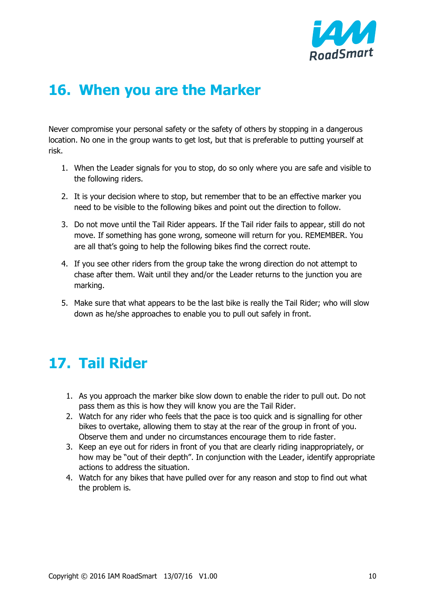

# **16. When you are the Marker**

Never compromise your personal safety or the safety of others by stopping in a dangerous location. No one in the group wants to get lost, but that is preferable to putting yourself at risk.

- 1. When the Leader signals for you to stop, do so only where you are safe and visible to the following riders.
- 2. It is your decision where to stop, but remember that to be an effective marker you need to be visible to the following bikes and point out the direction to follow.
- 3. Do not move until the Tail Rider appears. If the Tail rider fails to appear, still do not move. If something has gone wrong, someone will return for you. REMEMBER. You are all that's going to help the following bikes find the correct route.
- 4. If you see other riders from the group take the wrong direction do not attempt to chase after them. Wait until they and/or the Leader returns to the junction you are marking.
- 5. Make sure that what appears to be the last bike is really the Tail Rider; who will slow down as he/she approaches to enable you to pull out safely in front.

# **17. Tail Rider**

- 1. As you approach the marker bike slow down to enable the rider to pull out. Do not pass them as this is how they will know you are the Tail Rider.
- 2. Watch for any rider who feels that the pace is too quick and is signalling for other bikes to overtake, allowing them to stay at the rear of the group in front of you. Observe them and under no circumstances encourage them to ride faster.
- 3. Keep an eye out for riders in front of you that are clearly riding inappropriately, or how may be "out of their depth". In conjunction with the Leader, identify appropriate actions to address the situation.
- 4. Watch for any bikes that have pulled over for any reason and stop to find out what the problem is.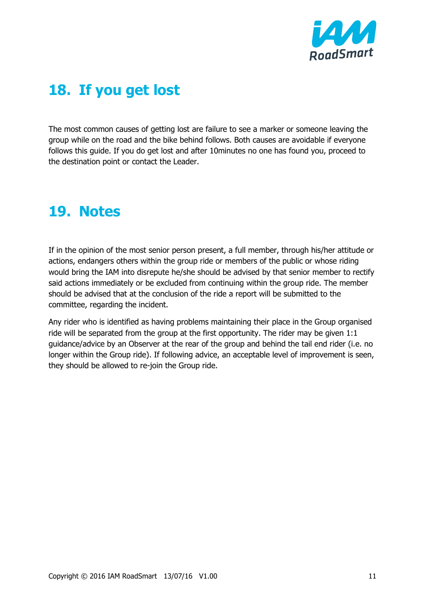

# **18. If you get lost**

The most common causes of getting lost are failure to see a marker or someone leaving the group while on the road and the bike behind follows. Both causes are avoidable if everyone follows this guide. If you do get lost and after 10minutes no one has found you, proceed to the destination point or contact the Leader.

# **19. Notes**

If in the opinion of the most senior person present, a full member, through his/her attitude or actions, endangers others within the group ride or members of the public or whose riding would bring the IAM into disrepute he/she should be advised by that senior member to rectify said actions immediately or be excluded from continuing within the group ride. The member should be advised that at the conclusion of the ride a report will be submitted to the committee, regarding the incident.

Any rider who is identified as having problems maintaining their place in the Group organised ride will be separated from the group at the first opportunity. The rider may be given 1:1 guidance/advice by an Observer at the rear of the group and behind the tail end rider (i.e. no longer within the Group ride). If following advice, an acceptable level of improvement is seen, they should be allowed to re-join the Group ride.